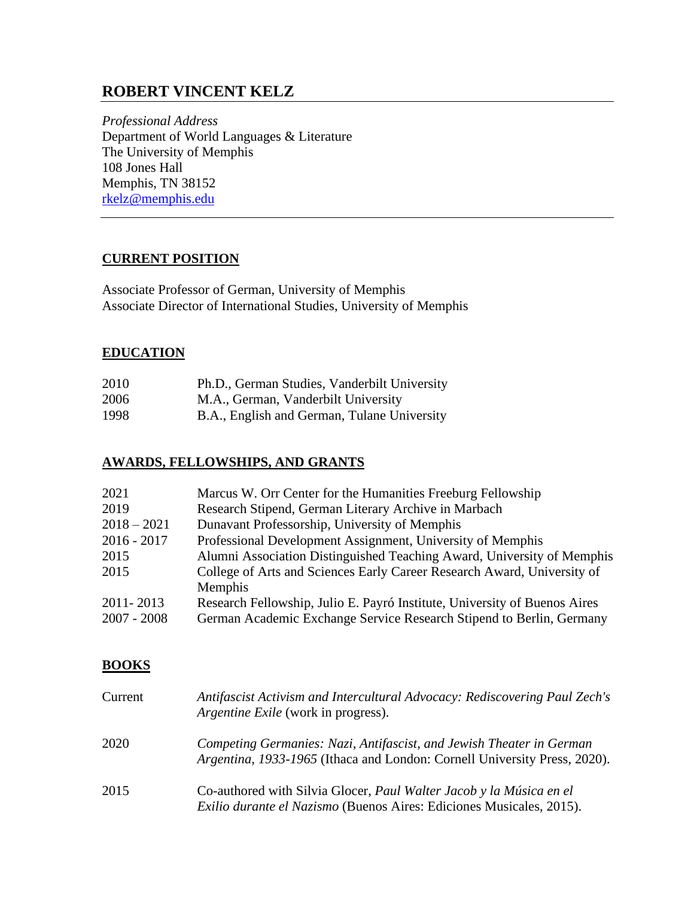# **ROBERT VINCENT KELZ**

*Professional Address* Department of World Languages & Literature The University of Memphis 108 Jones Hall Memphis, TN 38152 [rkelz@memphis.edu](mailto:rkelz@memphis.edu)

### **CURRENT POSITION**

Associate Professor of German, University of Memphis Associate Director of International Studies, University of Memphis

### **EDUCATION**

| 2010 | Ph.D., German Studies, Vanderbilt University |
|------|----------------------------------------------|
|------|----------------------------------------------|

- 2006 M.A., German, Vanderbilt University
- 1998 B.A., English and German, Tulane University

#### **AWARDS, FELLOWSHIPS, AND GRANTS**

| 2021          | Marcus W. Orr Center for the Humanities Freeburg Fellowship               |
|---------------|---------------------------------------------------------------------------|
| 2019          | Research Stipend, German Literary Archive in Marbach                      |
| $2018 - 2021$ | Dunavant Professorship, University of Memphis                             |
| 2016 - 2017   | Professional Development Assignment, University of Memphis                |
| 2015          | Alumni Association Distinguished Teaching Award, University of Memphis    |
| 2015          | College of Arts and Sciences Early Career Research Award, University of   |
|               | Memphis                                                                   |
| 2011-2013     | Research Fellowship, Julio E. Payró Institute, University of Buenos Aires |
| 2007 - 2008   | German Academic Exchange Service Research Stipend to Berlin, Germany      |

#### **BOOKS**

| Current | Antifascist Activism and Intercultural Advocacy: Rediscovering Paul Zech's<br><i>Argentine Exile</i> (work in progress).                                 |
|---------|----------------------------------------------------------------------------------------------------------------------------------------------------------|
| 2020    | Competing Germanies: Nazi, Antifascist, and Jewish Theater in German<br><i>Argentina, 1933-1965</i> (Ithaca and London: Cornell University Press, 2020). |
| 2015    | Co-authored with Silvia Glocer, Paul Walter Jacob y la Música en el<br><i>Exilio durante el Nazismo</i> (Buenos Aires: Ediciones Musicales, 2015).       |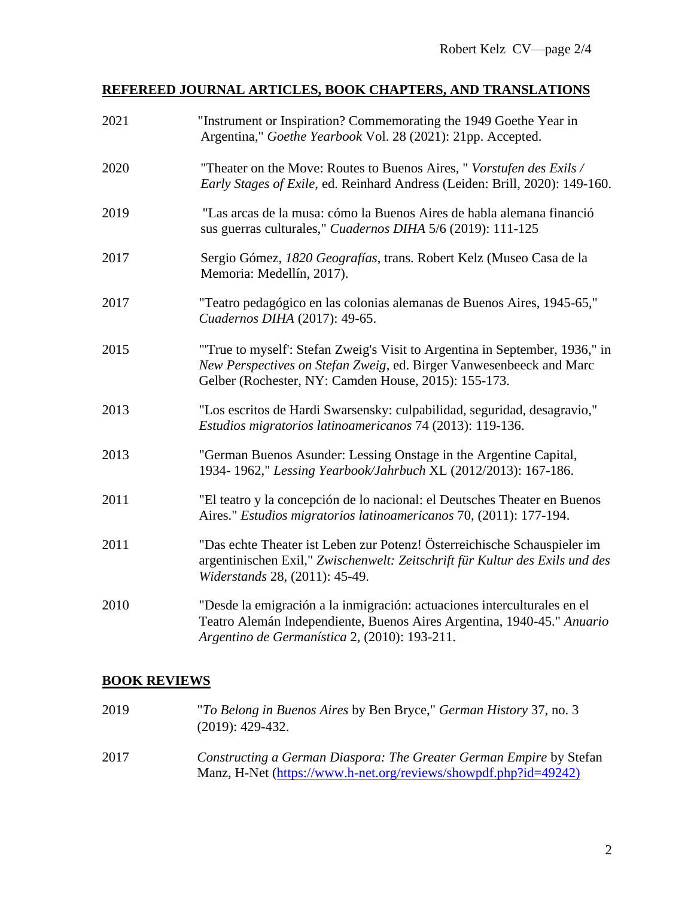# **REFEREED JOURNAL ARTICLES, BOOK CHAPTERS, AND TRANSLATIONS**

| 2021 | "Instrument or Inspiration? Commemorating the 1949 Goethe Year in<br>Argentina," Goethe Yearbook Vol. 28 (2021): 21pp. Accepted.                                                                          |
|------|-----------------------------------------------------------------------------------------------------------------------------------------------------------------------------------------------------------|
| 2020 | "Theater on the Move: Routes to Buenos Aires, " Vorstufen des Exils /<br>Early Stages of Exile, ed. Reinhard Andress (Leiden: Brill, 2020): 149-160.                                                      |
| 2019 | "Las arcas de la musa: cómo la Buenos Aires de habla alemana financió<br>sus guerras culturales," Cuadernos DIHA 5/6 (2019): 111-125                                                                      |
| 2017 | Sergio Gómez, 1820 Geografías, trans. Robert Kelz (Museo Casa de la<br>Memoria: Medellín, 2017).                                                                                                          |
| 2017 | "Teatro pedagógico en las colonias alemanas de Buenos Aires, 1945-65,"<br>Cuadernos DIHA (2017): 49-65.                                                                                                   |
| 2015 | "True to myself: Stefan Zweig's Visit to Argentina in September, 1936," in<br>New Perspectives on Stefan Zweig, ed. Birger Vanwesenbeeck and Marc<br>Gelber (Rochester, NY: Camden House, 2015): 155-173. |
| 2013 | "Los escritos de Hardi Swarsensky: culpabilidad, seguridad, desagravio,"<br>Estudios migratorios latinoamericanos 74 (2013): 119-136.                                                                     |
| 2013 | "German Buenos Asunder: Lessing Onstage in the Argentine Capital,<br>1934-1962," Lessing Yearbook/Jahrbuch XL (2012/2013): 167-186.                                                                       |
| 2011 | "El teatro y la concepción de lo nacional: el Deutsches Theater en Buenos<br>Aires." Estudios migratorios latinoamericanos 70, (2011): 177-194.                                                           |
| 2011 | "Das echte Theater ist Leben zur Potenz! Österreichische Schauspieler im<br>argentinischen Exil," Zwischenwelt: Zeitschrift für Kultur des Exils und des<br>Widerstands 28, (2011): 45-49.                |
| 2010 | "Desde la emigración a la inmigración: actuaciones interculturales en el<br>Teatro Alemán Independiente, Buenos Aires Argentina, 1940-45." Anuario<br>Argentino de Germanística 2, (2010): 193-211.       |

## **BOOK REVIEWS**

| 2019 | "To Belong in Buenos Aires by Ben Bryce," German History 37, no. 3<br>$(2019): 429-432.$                                                |
|------|-----------------------------------------------------------------------------------------------------------------------------------------|
| 2017 | Constructing a German Diaspora: The Greater German Empire by Stefan<br>Manz, H-Net (https://www.h-net.org/reviews/showpdf.php?id=49242) |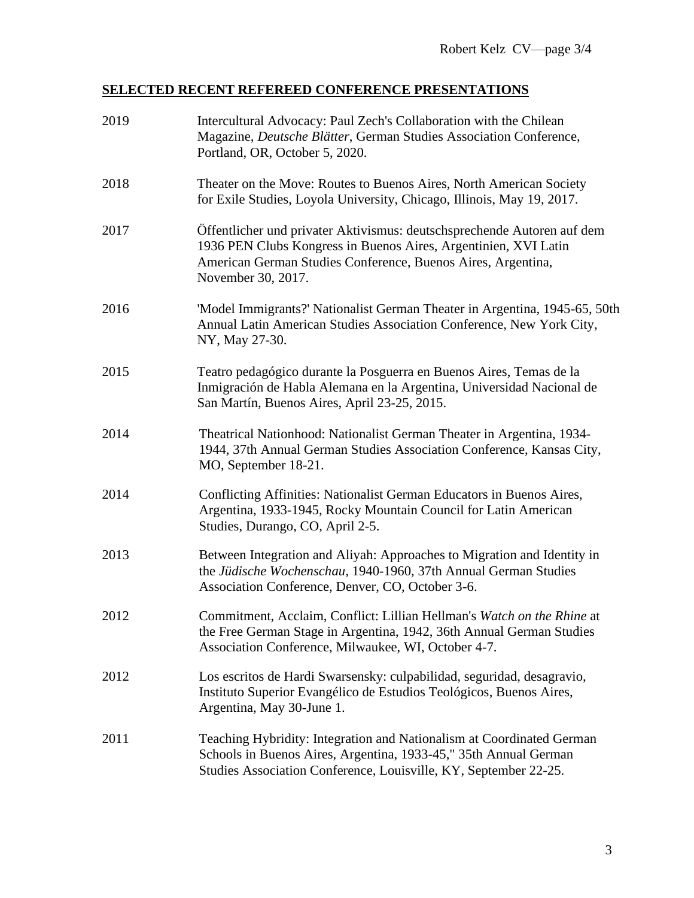# **SELECTED RECENT REFEREED CONFERENCE PRESENTATIONS**

| 2019 | Intercultural Advocacy: Paul Zech's Collaboration with the Chilean<br>Magazine, Deutsche Blätter, German Studies Association Conference,<br>Portland, OR, October 5, 2020.                                                       |
|------|----------------------------------------------------------------------------------------------------------------------------------------------------------------------------------------------------------------------------------|
| 2018 | Theater on the Move: Routes to Buenos Aires, North American Society<br>for Exile Studies, Loyola University, Chicago, Illinois, May 19, 2017.                                                                                    |
| 2017 | Öffentlicher und privater Aktivismus: deutschsprechende Autoren auf dem<br>1936 PEN Clubs Kongress in Buenos Aires, Argentinien, XVI Latin<br>American German Studies Conference, Buenos Aires, Argentina,<br>November 30, 2017. |
| 2016 | 'Model Immigrants?' Nationalist German Theater in Argentina, 1945-65, 50th<br>Annual Latin American Studies Association Conference, New York City,<br>NY, May 27-30.                                                             |
| 2015 | Teatro pedagógico durante la Posguerra en Buenos Aires, Temas de la<br>Inmigración de Habla Alemana en la Argentina, Universidad Nacional de<br>San Martín, Buenos Aires, April 23-25, 2015.                                     |
| 2014 | Theatrical Nationhood: Nationalist German Theater in Argentina, 1934-<br>1944, 37th Annual German Studies Association Conference, Kansas City,<br>MO, September 18-21.                                                           |
| 2014 | Conflicting Affinities: Nationalist German Educators in Buenos Aires,<br>Argentina, 1933-1945, Rocky Mountain Council for Latin American<br>Studies, Durango, CO, April 2-5.                                                     |
| 2013 | Between Integration and Aliyah: Approaches to Migration and Identity in<br>the Jüdische Wochenschau, 1940-1960, 37th Annual German Studies<br>Association Conference, Denver, CO, October 3-6.                                   |
| 2012 | Commitment, Acclaim, Conflict: Lillian Hellman's Watch on the Rhine at<br>the Free German Stage in Argentina, 1942, 36th Annual German Studies<br>Association Conference, Milwaukee, WI, October 4-7.                            |
| 2012 | Los escritos de Hardi Swarsensky: culpabilidad, seguridad, desagravio,<br>Instituto Superior Evangélico de Estudios Teológicos, Buenos Aires,<br>Argentina, May 30-June 1.                                                       |
| 2011 | Teaching Hybridity: Integration and Nationalism at Coordinated German<br>Schools in Buenos Aires, Argentina, 1933-45," 35th Annual German<br>Studies Association Conference, Louisville, KY, September 22-25.                    |